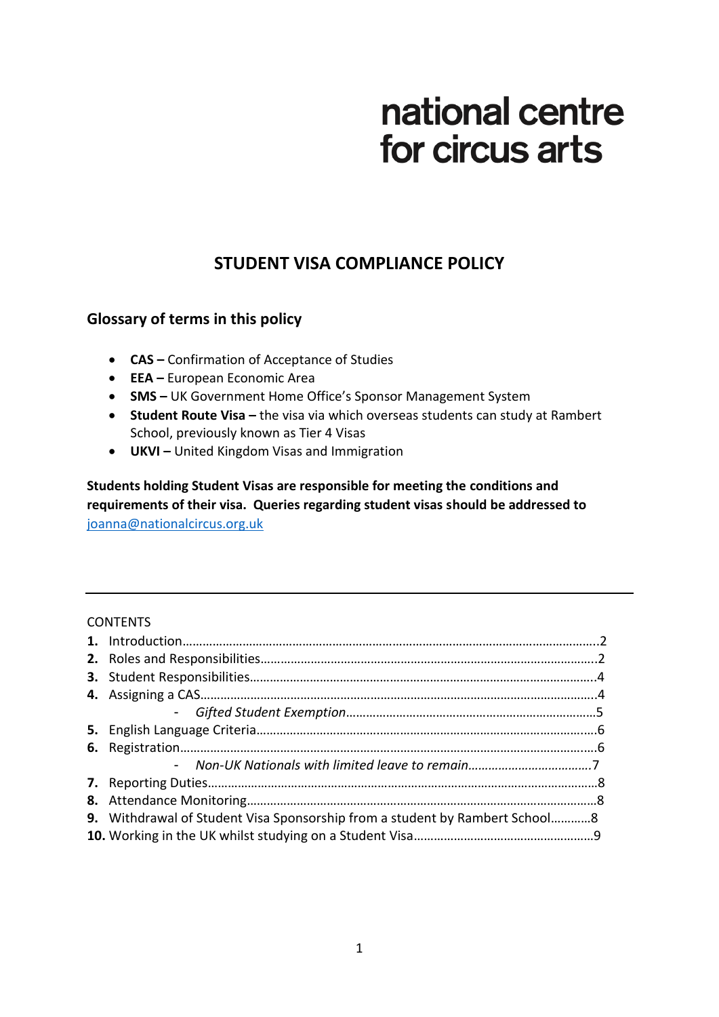# national centre for circus arts

# **STUDENT VISA COMPLIANCE POLICY**

# **Glossary of terms in this policy**

- **CAS –** Confirmation of Acceptance of Studies
- **EEA –** European Economic Area
- **SMS –** UK Government Home Office's Sponsor Management System
- **Student Route Visa –** the visa via which overseas students can study at Rambert School, previously known as Tier 4 Visas
- **UKVI –** United Kingdom Visas and Immigration

**Students holding Student Visas are responsible for meeting the conditions and requirements of their visa. Queries regarding student visas should be addressed to**  [joanna@nationalcircus.org.uk](mailto:joanna@nationalcircus.org.uk)

#### **CONTENTS**

| <b>9.</b> Withdrawal of Student Visa Sponsorship from a student by Rambert School8 |  |
|------------------------------------------------------------------------------------|--|
|                                                                                    |  |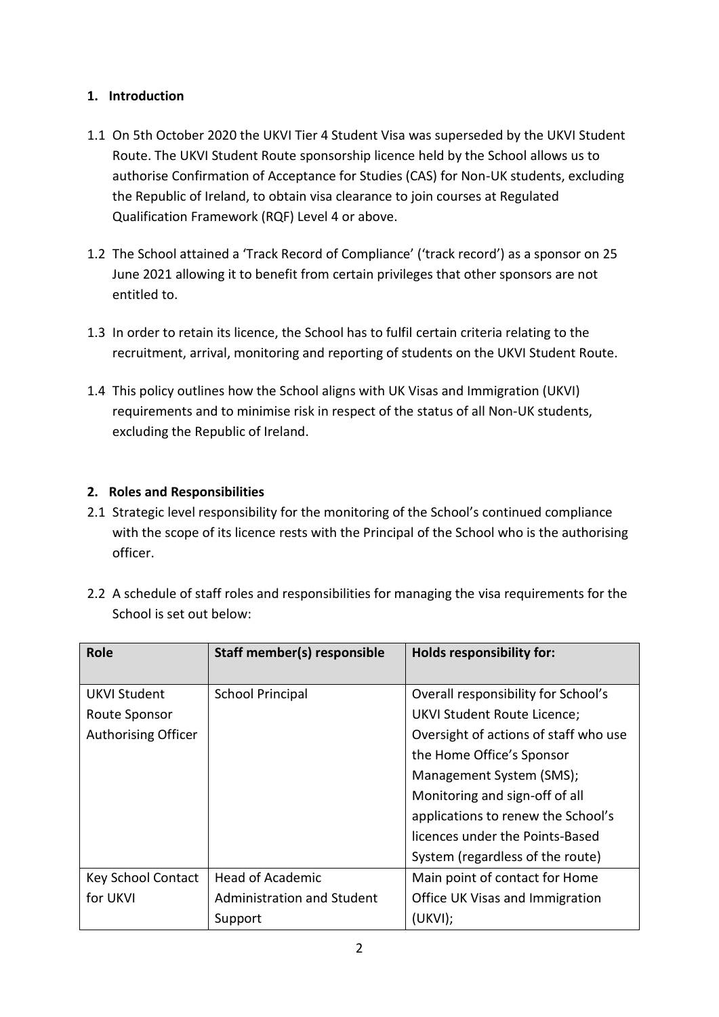### **1. Introduction**

- 1.1 On 5th October 2020 the UKVI Tier 4 Student Visa was superseded by the UKVI Student Route. The UKVI Student Route sponsorship licence held by the School allows us to authorise Confirmation of Acceptance for Studies (CAS) for Non-UK students, excluding the Republic of Ireland, to obtain visa clearance to join courses at Regulated Qualification Framework (RQF) Level 4 or above.
- 1.2 The School attained a 'Track Record of Compliance' ('track record') as a sponsor on 25 June 2021 allowing it to benefit from certain privileges that other sponsors are not entitled to.
- 1.3 In order to retain its licence, the School has to fulfil certain criteria relating to the recruitment, arrival, monitoring and reporting of students on the UKVI Student Route.
- 1.4 This policy outlines how the School aligns with UK Visas and Immigration (UKVI) requirements and to minimise risk in respect of the status of all Non-UK students, excluding the Republic of Ireland.

#### **2. Roles and Responsibilities**

2.1 Strategic level responsibility for the monitoring of the School's continued compliance with the scope of its licence rests with the Principal of the School who is the authorising officer.

| <b>Role</b>                | Staff member(s) responsible | <b>Holds responsibility for:</b>      |
|----------------------------|-----------------------------|---------------------------------------|
| <b>UKVI Student</b>        | <b>School Principal</b>     | Overall responsibility for School's   |
| Route Sponsor              |                             | <b>UKVI Student Route Licence;</b>    |
| <b>Authorising Officer</b> |                             | Oversight of actions of staff who use |
|                            |                             | the Home Office's Sponsor             |
|                            |                             | Management System (SMS);              |
|                            |                             | Monitoring and sign-off of all        |
|                            |                             | applications to renew the School's    |
|                            |                             | licences under the Points-Based       |
|                            |                             | System (regardless of the route)      |
| <b>Key School Contact</b>  | <b>Head of Academic</b>     | Main point of contact for Home        |
| for UKVI                   | Administration and Student  | Office UK Visas and Immigration       |
|                            | Support                     | (UKVI);                               |

2.2 A schedule of staff roles and responsibilities for managing the visa requirements for the School is set out below: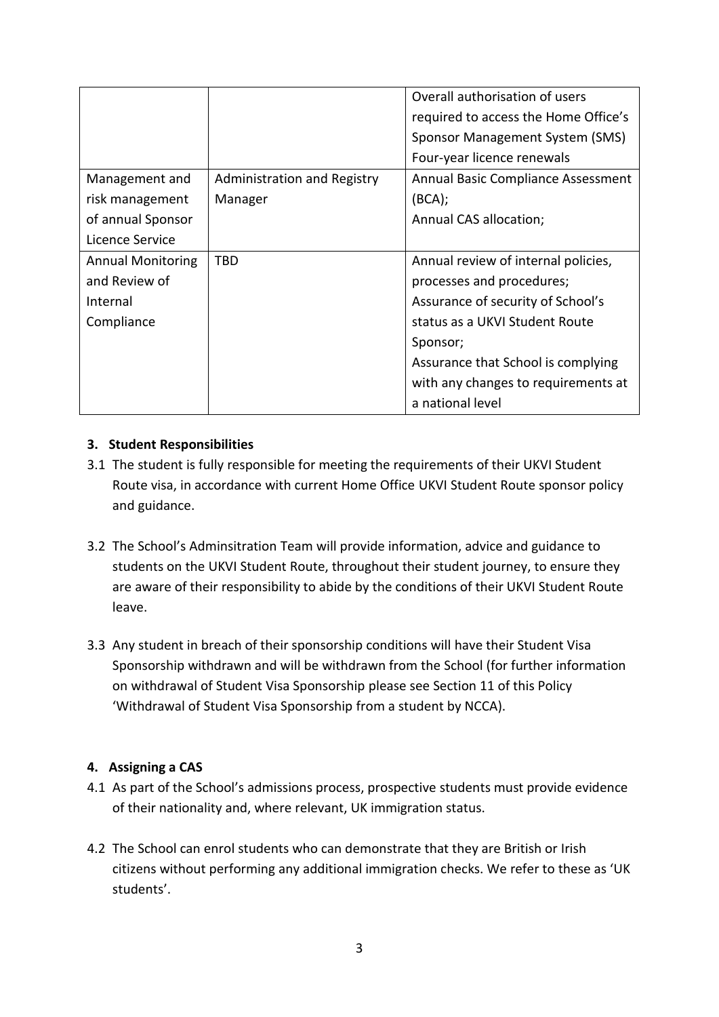|                          |                             | Overall authorisation of users       |
|--------------------------|-----------------------------|--------------------------------------|
|                          |                             | required to access the Home Office's |
|                          |                             | Sponsor Management System (SMS)      |
|                          |                             | Four-year licence renewals           |
| Management and           | Administration and Registry | Annual Basic Compliance Assessment   |
| risk management          | Manager                     | (BCA);                               |
| of annual Sponsor        |                             | Annual CAS allocation;               |
| Licence Service          |                             |                                      |
| <b>Annual Monitoring</b> | TBD                         | Annual review of internal policies,  |
| and Review of            |                             | processes and procedures;            |
| Internal                 |                             | Assurance of security of School's    |
| Compliance               |                             | status as a UKVI Student Route       |
|                          |                             | Sponsor;                             |
|                          |                             | Assurance that School is complying   |
|                          |                             | with any changes to requirements at  |
|                          |                             | a national level                     |

#### **3. Student Responsibilities**

- 3.1 The student is fully responsible for meeting the requirements of their UKVI Student Route visa, in accordance with current Home Office UKVI Student Route sponsor policy and guidance.
- 3.2 The School's Adminsitration Team will provide information, advice and guidance to students on the UKVI Student Route, throughout their student journey, to ensure they are aware of their responsibility to abide by the conditions of their UKVI Student Route leave.
- 3.3 Any student in breach of their sponsorship conditions will have their Student Visa Sponsorship withdrawn and will be withdrawn from the School (for further information on withdrawal of Student Visa Sponsorship please see Section 11 of this Policy 'Withdrawal of Student Visa Sponsorship from a student by NCCA).

#### **4. Assigning a CAS**

- 4.1 As part of the School's admissions process, prospective students must provide evidence of their nationality and, where relevant, UK immigration status.
- 4.2 The School can enrol students who can demonstrate that they are British or Irish citizens without performing any additional immigration checks. We refer to these as 'UK students'.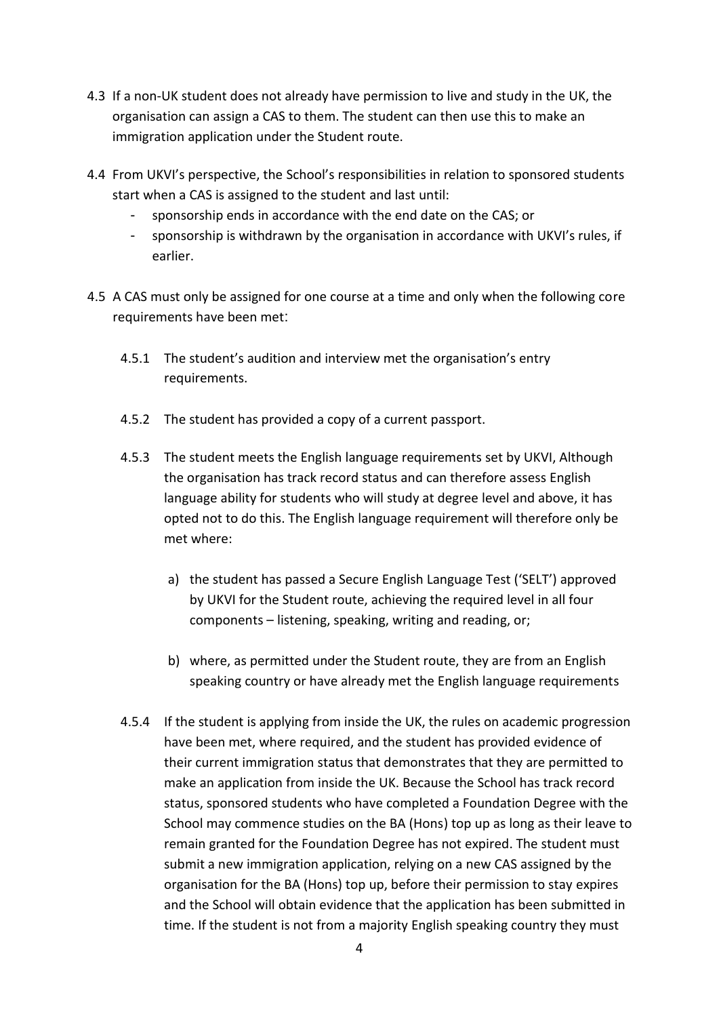- 4.3 If a non-UK student does not already have permission to live and study in the UK, the organisation can assign a CAS to them. The student can then use this to make an immigration application under the Student route.
- 4.4 From UKVI's perspective, the School's responsibilities in relation to sponsored students start when a CAS is assigned to the student and last until:
	- sponsorship ends in accordance with the end date on the CAS; or
	- sponsorship is withdrawn by the organisation in accordance with UKVI's rules, if earlier.
- 4.5 A CAS must only be assigned for one course at a time and only when the following core requirements have been met:
	- 4.5.1 The student's audition and interview met the organisation's entry requirements.
	- 4.5.2 The student has provided a copy of a current passport.
	- 4.5.3 The student meets the English language requirements set by UKVI, Although the organisation has track record status and can therefore assess English language ability for students who will study at degree level and above, it has opted not to do this. The English language requirement will therefore only be met where:
		- a) the student has passed a Secure English Language Test ('SELT') approved by UKVI for the Student route, achieving the required level in all four components – listening, speaking, writing and reading, or;
		- b) where, as permitted under the Student route, they are from an English speaking country or have already met the English language requirements
	- 4.5.4 If the student is applying from inside the UK, the rules on academic progression have been met, where required, and the student has provided evidence of their current immigration status that demonstrates that they are permitted to make an application from inside the UK. Because the School has track record status, sponsored students who have completed a Foundation Degree with the School may commence studies on the BA (Hons) top up as long as their leave to remain granted for the Foundation Degree has not expired. The student must submit a new immigration application, relying on a new CAS assigned by the organisation for the BA (Hons) top up, before their permission to stay expires and the School will obtain evidence that the application has been submitted in time. If the student is not from a majority English speaking country they must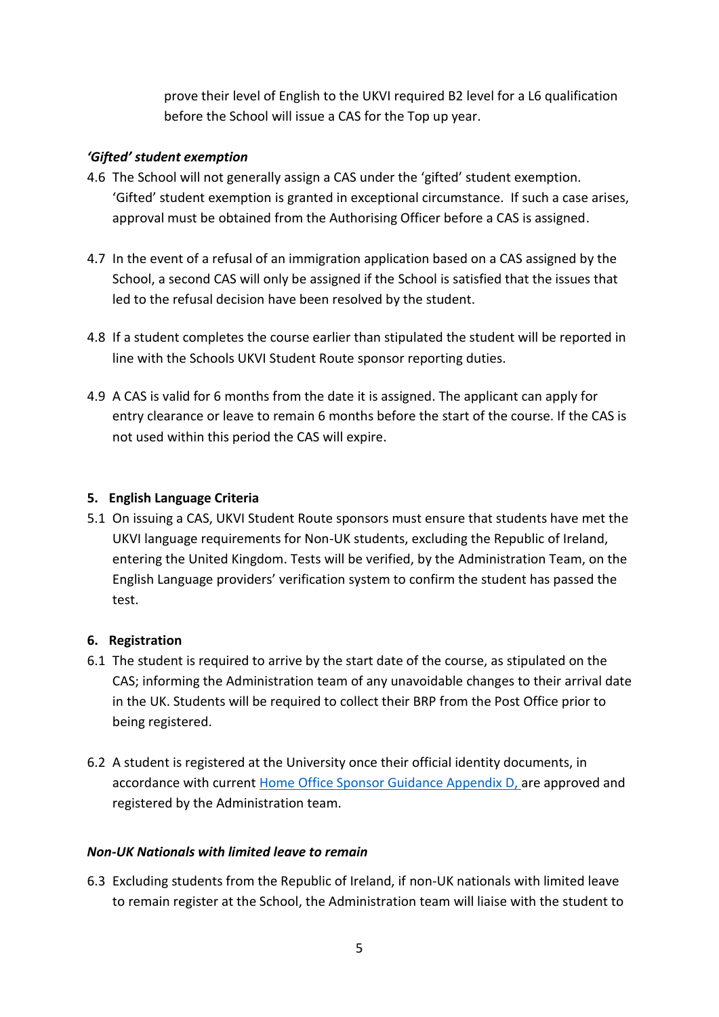prove their level of English to the UKVI required B2 level for a L6 qualification before the School will issue a CAS for the Top up year.

#### *'Gifted' student exemption*

- 4.6 The School will not generally assign a CAS under the 'gifted' student exemption. 'Gifted' student exemption is granted in exceptional circumstance. If such a case arises, approval must be obtained from the Authorising Officer before a CAS is assigned.
- 4.7 In the event of a refusal of an immigration application based on a CAS assigned by the School, a second CAS will only be assigned if the School is satisfied that the issues that led to the refusal decision have been resolved by the student.
- 4.8 If a student completes the course earlier than stipulated the student will be reported in line with the Schools UKVI Student Route sponsor reporting duties.
- 4.9 A CAS is valid for 6 months from the date it is assigned. The applicant can apply for entry clearance or leave to remain 6 months before the start of the course. If the CAS is not used within this period the CAS will expire.

#### **5. English Language Criteria**

5.1 On issuing a CAS, UKVI Student Route sponsors must ensure that students have met the UKVI language requirements for Non-UK students, excluding the Republic of Ireland, entering the United Kingdom. Tests will be verified, by the Administration Team, on the English Language providers' verification system to confirm the student has passed the test.

#### **6. Registration**

- 6.1 The student is required to arrive by the start date of the course, as stipulated on the CAS; informing the Administration team of any unavoidable changes to their arrival date in the UK. Students will be required to collect their BRP from the Post Office prior to being registered.
- 6.2 A student is registered at the University once their official identity documents, in accordance with current [Home Office Sponsor Guidance Appendix D, a](https://www.gov.uk/government/publications/keep-records-for-sponsorship-appendix-d)re approved and registered by the Administration team.

#### *Non-UK Nationals with limited leave to remain*

6.3 Excluding students from the Republic of Ireland, if non-UK nationals with limited leave to remain register at the School, the Administration team will liaise with the student to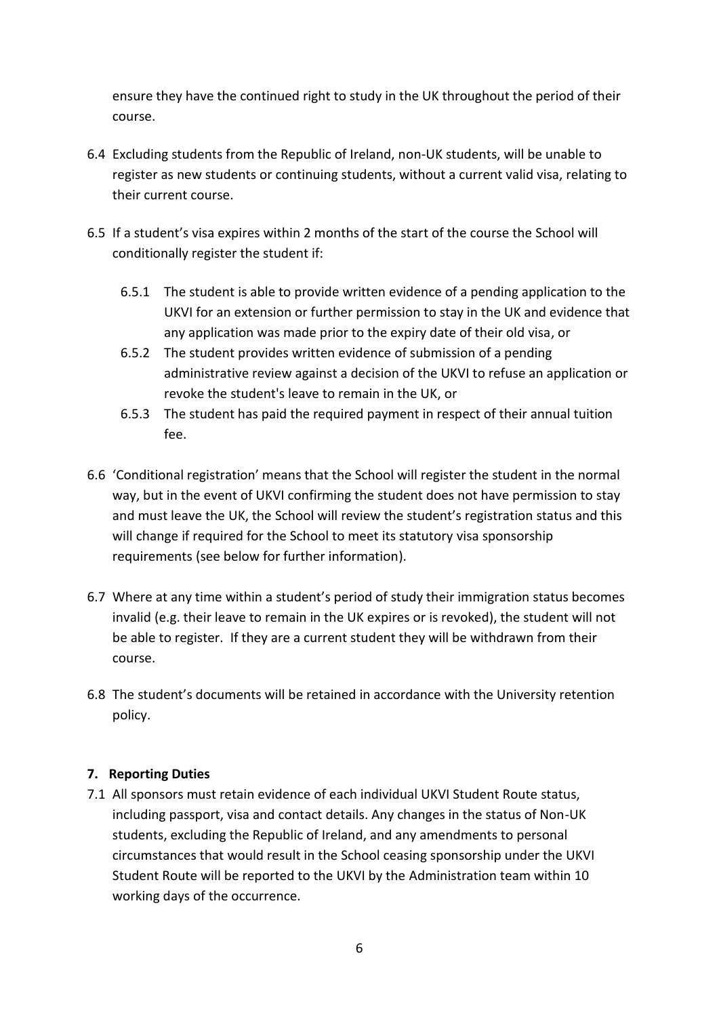ensure they have the continued right to study in the UK throughout the period of their course.

- 6.4 Excluding students from the Republic of Ireland, non-UK students, will be unable to register as new students or continuing students, without a current valid visa, relating to their current course.
- 6.5 If a student's visa expires within 2 months of the start of the course the School will conditionally register the student if:
	- 6.5.1 The student is able to provide written evidence of a pending application to the UKVI for an extension or further permission to stay in the UK and evidence that any application was made prior to the expiry date of their old visa, or
	- 6.5.2 The student provides written evidence of submission of a pending administrative review against a decision of the UKVI to refuse an application or revoke the student's leave to remain in the UK, or
	- 6.5.3 The student has paid the required payment in respect of their annual tuition fee.
- 6.6 'Conditional registration' means that the School will register the student in the normal way, but in the event of UKVI confirming the student does not have permission to stay and must leave the UK, the School will review the student's registration status and this will change if required for the School to meet its statutory visa sponsorship requirements (see below for further information).
- 6.7 Where at any time within a student's period of study their immigration status becomes invalid (e.g. their leave to remain in the UK expires or is revoked), the student will not be able to register. If they are a current student they will be withdrawn from their course.
- 6.8 The student's documents will be retained in accordance with the University retention policy.

## **7. Reporting Duties**

7.1 All sponsors must retain evidence of each individual UKVI Student Route status, including passport, visa and contact details. Any changes in the status of Non-UK students, excluding the Republic of Ireland, and any amendments to personal circumstances that would result in the School ceasing sponsorship under the UKVI Student Route will be reported to the UKVI by the Administration team within 10 working days of the occurrence.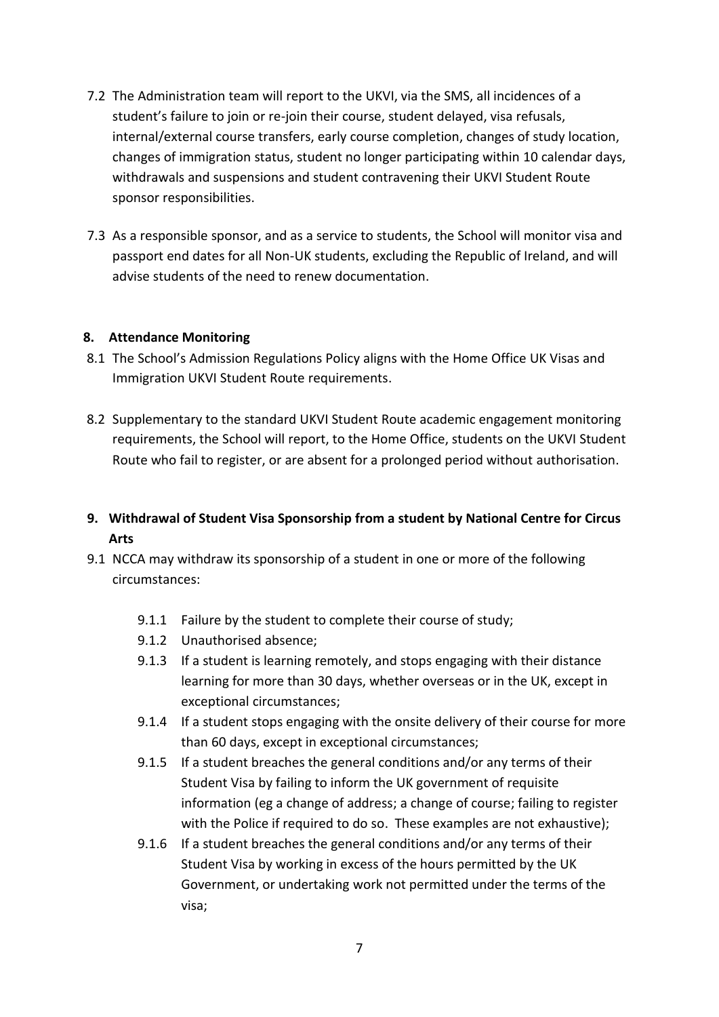- 7.2 The Administration team will report to the UKVI, via the SMS, all incidences of a student's failure to join or re-join their course, student delayed, visa refusals, internal/external course transfers, early course completion, changes of study location, changes of immigration status, student no longer participating within 10 calendar days, withdrawals and suspensions and student contravening their UKVI Student Route sponsor responsibilities.
- 7.3 As a responsible sponsor, and as a service to students, the School will monitor visa and passport end dates for all Non-UK students, excluding the Republic of Ireland, and will advise students of the need to renew documentation.

#### **8. Attendance Monitoring**

- 8.1 The School's Admission Regulations Policy aligns with the Home Office UK Visas and Immigration UKVI Student Route requirements.
- 8.2 Supplementary to the standard UKVI Student Route academic engagement monitoring requirements, the School will report, to the Home Office, students on the UKVI Student Route who fail to register, or are absent for a prolonged period without authorisation.
- **9. Withdrawal of Student Visa Sponsorship from a student by National Centre for Circus Arts**
- 9.1 NCCA may withdraw its sponsorship of a student in one or more of the following circumstances:
	- 9.1.1 Failure by the student to complete their course of study;
	- 9.1.2 Unauthorised absence;
	- 9.1.3 If a student is learning remotely, and stops engaging with their distance learning for more than 30 days, whether overseas or in the UK, except in exceptional circumstances;
	- 9.1.4 If a student stops engaging with the onsite delivery of their course for more than 60 days, except in exceptional circumstances;
	- 9.1.5 If a student breaches the general conditions and/or any terms of their Student Visa by failing to inform the UK government of requisite information (eg a change of address; a change of course; failing to register with the Police if required to do so. These examples are not exhaustive);
	- 9.1.6 If a student breaches the general conditions and/or any terms of their Student Visa by working in excess of the hours permitted by the UK Government, or undertaking work not permitted under the terms of the visa;